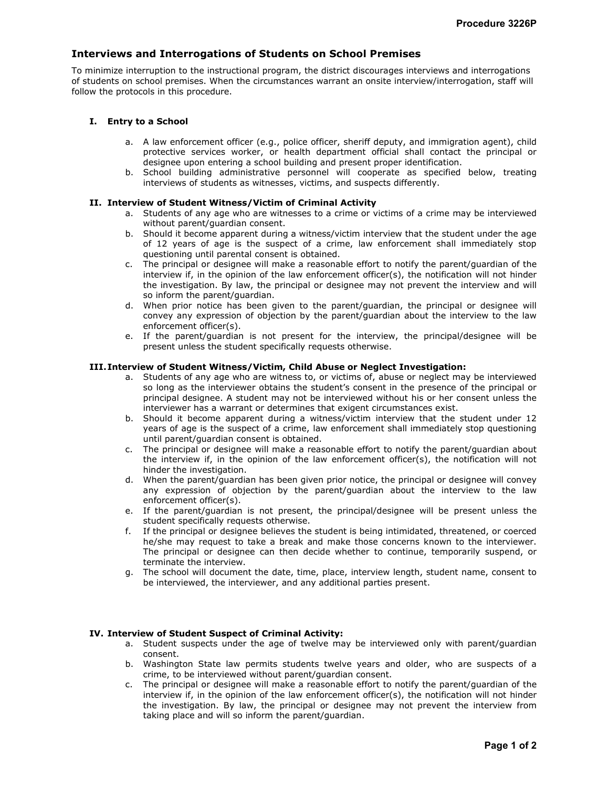# Interviews and Interrogations of Students on School Premises

To minimize interruption to the instructional program, the district discourages interviews and interrogations of students on school premises. When the circumstances warrant an onsite interview/interrogation, staff will follow the protocols in this procedure.

# I. Entry to a School

- a. A law enforcement officer (e.g., police officer, sheriff deputy, and immigration agent), child protective services worker, or health department official shall contact the principal or designee upon entering a school building and present proper identification.
- b. School building administrative personnel will cooperate as specified below, treating interviews of students as witnesses, victims, and suspects differently.

## II. Interview of Student Witness/Victim of Criminal Activity

- a. Students of any age who are witnesses to a crime or victims of a crime may be interviewed without parent/guardian consent.
- b. Should it become apparent during a witness/victim interview that the student under the age of 12 years of age is the suspect of a crime, law enforcement shall immediately stop questioning until parental consent is obtained.
- c. The principal or designee will make a reasonable effort to notify the parent/guardian of the interview if, in the opinion of the law enforcement officer(s), the notification will not hinder the investigation. By law, the principal or designee may not prevent the interview and will so inform the parent/guardian.
- d. When prior notice has been given to the parent/guardian, the principal or designee will convey any expression of objection by the parent/guardian about the interview to the law enforcement officer(s).
- e. If the parent/guardian is not present for the interview, the principal/designee will be present unless the student specifically requests otherwise.

# III.Interview of Student Witness/Victim, Child Abuse or Neglect Investigation:

- a. Students of any age who are witness to, or victims of, abuse or neglect may be interviewed so long as the interviewer obtains the student's consent in the presence of the principal or principal designee. A student may not be interviewed without his or her consent unless the interviewer has a warrant or determines that exigent circumstances exist.
- b. Should it become apparent during a witness/victim interview that the student under 12 years of age is the suspect of a crime, law enforcement shall immediately stop questioning until parent/guardian consent is obtained.
- c. The principal or designee will make a reasonable effort to notify the parent/guardian about the interview if, in the opinion of the law enforcement officer(s), the notification will not hinder the investigation.
- d. When the parent/guardian has been given prior notice, the principal or designee will convey any expression of objection by the parent/guardian about the interview to the law enforcement officer(s).
- e. If the parent/guardian is not present, the principal/designee will be present unless the student specifically requests otherwise.
- f. If the principal or designee believes the student is being intimidated, threatened, or coerced he/she may request to take a break and make those concerns known to the interviewer. The principal or designee can then decide whether to continue, temporarily suspend, or terminate the interview.
- g. The school will document the date, time, place, interview length, student name, consent to be interviewed, the interviewer, and any additional parties present.

## IV. Interview of Student Suspect of Criminal Activity:

- a. Student suspects under the age of twelve may be interviewed only with parent/guardian consent.
- b. Washington State law permits students twelve years and older, who are suspects of a crime, to be interviewed without parent/guardian consent.
- c. The principal or designee will make a reasonable effort to notify the parent/guardian of the interview if, in the opinion of the law enforcement officer(s), the notification will not hinder the investigation. By law, the principal or designee may not prevent the interview from taking place and will so inform the parent/guardian.